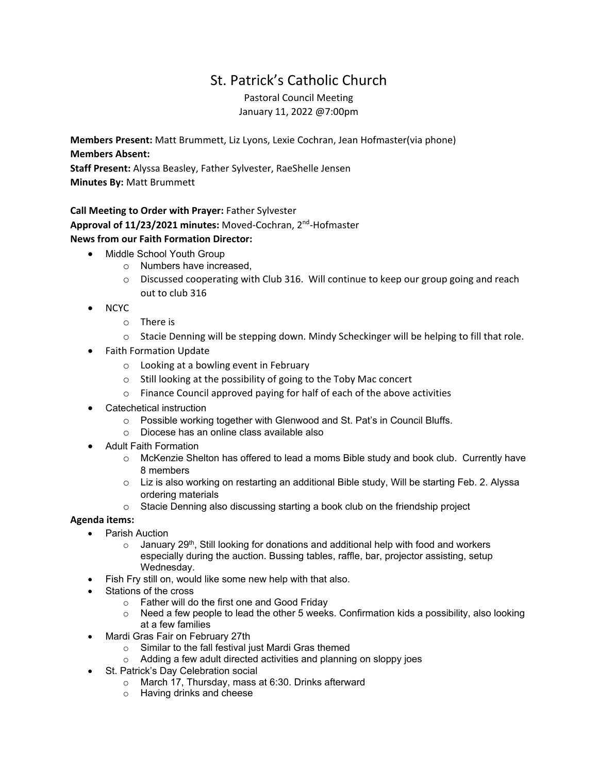## St. Patrick's Catholic Church

Pastoral Council Meeting January 11, 2022 @7:00pm

**Members Present:** Matt Brummett, Liz Lyons, Lexie Cochran, Jean Hofmaster(via phone) **Members Absent:**

**Staff Present:** Alyssa Beasley, Father Sylvester, RaeShelle Jensen **Minutes By:** Matt Brummett

## **Call Meeting to Order with Prayer:** Father Sylvester **Approval of 11/23/2021 minutes:** Moved‐Cochran, 2nd‐Hofmaster **News from our Faith Formation Director:**

- Middle School Youth Group
	- o Numbers have increased,
	- $\circ$  Discussed cooperating with Club 316. Will continue to keep our group going and reach out to club 316
- NCYC
	- o There is
	- o Stacie Denning will be stepping down. Mindy Scheckinger will be helping to fill that role.
- Faith Formation Update
	- o Looking at a bowling event in February
	- o Still looking at the possibility of going to the Toby Mac concert
	- o Finance Council approved paying for half of each of the above activities
- Catechetical instruction
	- o Possible working together with Glenwood and St. Pat's in Council Bluffs.
	- o Diocese has an online class available also
- Adult Faith Formation
	- o McKenzie Shelton has offered to lead a moms Bible study and book club. Currently have 8 members
	- o Liz is also working on restarting an additional Bible study, Will be starting Feb. 2. Alyssa ordering materials
	- $\circ$  Stacie Denning also discussing starting a book club on the friendship project

## **Agenda items:**

- Parish Auction
	- $\circ$  January 29<sup>th</sup>, Still looking for donations and additional help with food and workers especially during the auction. Bussing tables, raffle, bar, projector assisting, setup Wednesday.
	- Fish Fry still on, would like some new help with that also.
- Stations of the cross
	- o Father will do the first one and Good Friday
	- $\circ$  Need a few people to lead the other 5 weeks. Confirmation kids a possibility, also looking at a few families
- Mardi Gras Fair on February 27th
	- o Similar to the fall festival just Mardi Gras themed
	- o Adding a few adult directed activities and planning on sloppy joes
	- St. Patrick's Day Celebration social
		- o March 17, Thursday, mass at 6:30. Drinks afterward
		- o Having drinks and cheese